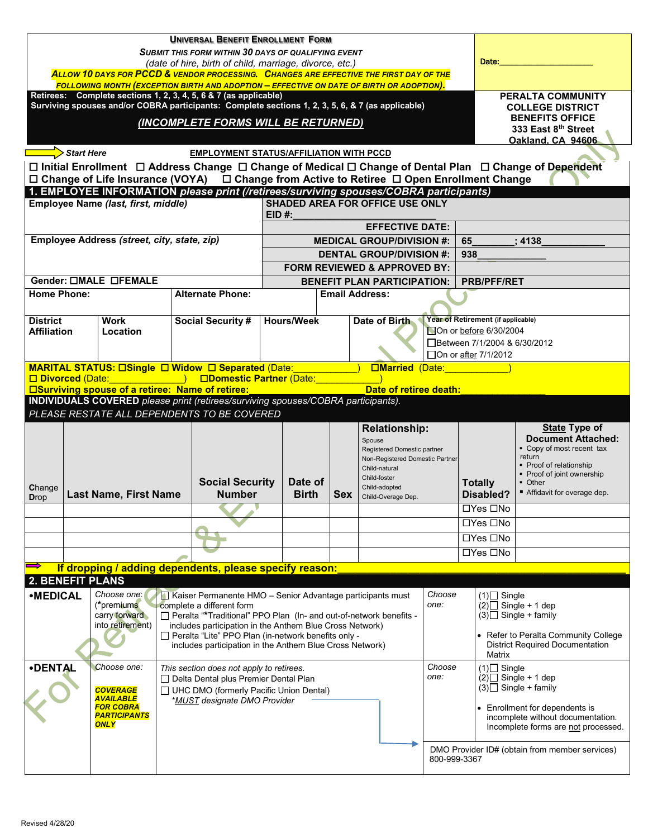| <b>UNIVERSAL BENEFIT ENROLLMENT FORM</b><br>SUBMIT THIS FORM WITHIN 30 DAYS OF QUALIFYING EVENT<br>Date:<br>(date of hire, birth of child, marriage, divorce, etc.)<br>ALLOW 10 DAYS FOR PCCD & VENDOR PROCESSING. CHANGES ARE EFFECTIVE THE FIRST DAY OF THE<br>FOLLOWING MONTH (EXCEPTION BIRTH AND ADOPTION – EFFECTIVE ON DATE OF BIRTH OR ADOPTION).                                                                                                                                                                                                                                                                                                                                                                                                                       |                                                                         |                       |                                    |                                                                                                                                                                                                                                                            |  |  |                                                                                                                         |                                                                                                                                                                                            |                                    |                                                                                                                                                                                                             |                                                                                                                                                                           |  |  |
|---------------------------------------------------------------------------------------------------------------------------------------------------------------------------------------------------------------------------------------------------------------------------------------------------------------------------------------------------------------------------------------------------------------------------------------------------------------------------------------------------------------------------------------------------------------------------------------------------------------------------------------------------------------------------------------------------------------------------------------------------------------------------------|-------------------------------------------------------------------------|-----------------------|------------------------------------|------------------------------------------------------------------------------------------------------------------------------------------------------------------------------------------------------------------------------------------------------------|--|--|-------------------------------------------------------------------------------------------------------------------------|--------------------------------------------------------------------------------------------------------------------------------------------------------------------------------------------|------------------------------------|-------------------------------------------------------------------------------------------------------------------------------------------------------------------------------------------------------------|---------------------------------------------------------------------------------------------------------------------------------------------------------------------------|--|--|
| Retirees: Complete sections 1, 2, 3, 4, 5, 6 & 7 (as applicable)<br>Surviving spouses and/or COBRA participants: Complete sections 1, 2, 3, 5, 6, & 7 (as applicable)<br>(INCOMPLETE FORMS WILL BE RETURNED)                                                                                                                                                                                                                                                                                                                                                                                                                                                                                                                                                                    |                                                                         |                       |                                    |                                                                                                                                                                                                                                                            |  |  |                                                                                                                         |                                                                                                                                                                                            |                                    | PERALTA COMMUNITY<br><b>COLLEGE DISTRICT</b><br><b>BENEFITS OFFICE</b><br>333 East 8th Street<br>Oakland, CA 94606                                                                                          |                                                                                                                                                                           |  |  |
| $\Rightarrow$ Start Here<br><b>EMPLOYMENT STATUS/AFFILIATION WITH PCCD</b><br>□ Initial Enrollment □ Address Change □ Change of Medical □ Change of Dental Plan □ Change of Dependent<br>□ Change of Life Insurance (VOYA) □ Change from Active to Retiree □ Open Enrollment Change                                                                                                                                                                                                                                                                                                                                                                                                                                                                                             |                                                                         |                       |                                    |                                                                                                                                                                                                                                                            |  |  |                                                                                                                         |                                                                                                                                                                                            |                                    |                                                                                                                                                                                                             |                                                                                                                                                                           |  |  |
| 1. EMPLOYEE INFORMATION please print (/retirees/surviving spouses/COBRA participants)<br><b>SHADED AREA FOR OFFICE USE ONLY</b><br>Employee Name (last, first, middle)<br>EID #:                                                                                                                                                                                                                                                                                                                                                                                                                                                                                                                                                                                                |                                                                         |                       |                                    |                                                                                                                                                                                                                                                            |  |  |                                                                                                                         |                                                                                                                                                                                            |                                    |                                                                                                                                                                                                             |                                                                                                                                                                           |  |  |
| Employee Address (street, city, state, zip)                                                                                                                                                                                                                                                                                                                                                                                                                                                                                                                                                                                                                                                                                                                                     |                                                                         |                       |                                    | <b>EFFECTIVE DATE:</b><br><b>MEDICAL GROUP/DIVISION #:</b><br><b>DENTAL GROUP/DIVISION #:</b><br><b>FORM REVIEWED &amp; APPROVED BY:</b>                                                                                                                   |  |  |                                                                                                                         |                                                                                                                                                                                            |                                    | 65<br>938                                                                                                                                                                                                   | : 4138                                                                                                                                                                    |  |  |
|                                                                                                                                                                                                                                                                                                                                                                                                                                                                                                                                                                                                                                                                                                                                                                                 |                                                                         | Gender: OMALE OFEMALE |                                    |                                                                                                                                                                                                                                                            |  |  |                                                                                                                         |                                                                                                                                                                                            | <b>BENEFIT PLAN PARTICIPATION:</b> |                                                                                                                                                                                                             | <b>PRB/PFF/RET</b>                                                                                                                                                        |  |  |
| <b>Home Phone:</b>                                                                                                                                                                                                                                                                                                                                                                                                                                                                                                                                                                                                                                                                                                                                                              |                                                                         |                       |                                    | <b>Alternate Phone:</b>                                                                                                                                                                                                                                    |  |  | <b>Email Address:</b>                                                                                                   |                                                                                                                                                                                            |                                    |                                                                                                                                                                                                             |                                                                                                                                                                           |  |  |
| <b>District</b>                                                                                                                                                                                                                                                                                                                                                                                                                                                                                                                                                                                                                                                                                                                                                                 | <b>Social Security #</b><br>Work<br>Location<br><b>Affiliation</b>      |                       | <b>Hours/Week</b><br>Date of Birth |                                                                                                                                                                                                                                                            |  |  | Year of Retirement (if applicable)<br>On or before 6/30/2004<br>□Between 7/1/2004 & 6/30/2012<br>□ On or after 7/1/2012 |                                                                                                                                                                                            |                                    |                                                                                                                                                                                                             |                                                                                                                                                                           |  |  |
| MARITAL STATUS: OSingle O Widow O Separated (Date:<br><b>Example 3</b> (Date: The Second Second Second Second Second Second Second Second Second Second Second Second Second Second Second Second Second Second Second Second Second Second Second Second Second Second Second Second Sec<br><u>in the contract of the contract of the contract of the contract of the contract of the contract of the contract of the contract of the contract of the contract of the contract of the contract of the contract of the contra</u><br>□ Divorced (Date: (Date: ) □ Domestic Partner (Date: )<br><b>Example 15 Surviving spouse of a retiree: Name of retiree:</b><br>Date of retiree death:<br>INDIVIDUALS COVERED please print (retirees/surviving spouses/COBRA participants). |                                                                         |                       |                                    |                                                                                                                                                                                                                                                            |  |  |                                                                                                                         |                                                                                                                                                                                            |                                    |                                                                                                                                                                                                             |                                                                                                                                                                           |  |  |
|                                                                                                                                                                                                                                                                                                                                                                                                                                                                                                                                                                                                                                                                                                                                                                                 |                                                                         |                       |                                    | PLEASE RESTATE ALL DEPENDENTS TO BE COVERED                                                                                                                                                                                                                |  |  |                                                                                                                         |                                                                                                                                                                                            |                                    |                                                                                                                                                                                                             |                                                                                                                                                                           |  |  |
| Change<br><b>Drop</b>                                                                                                                                                                                                                                                                                                                                                                                                                                                                                                                                                                                                                                                                                                                                                           | <b>Social Security</b><br><b>Last Name, First Name</b><br><b>Number</b> |                       |                                    | <b>Relationship:</b><br>Spouse<br>Registered Domestic partner<br>Non-Registered Domestic Partner<br>Child-natural<br>Child-foster<br>Date of<br>Child-adopted<br><b>Birth</b><br><b>Sex</b><br>Child-Overage Dep.                                          |  |  | <b>Totally</b><br>Disabled?                                                                                             | <b>State Type of</b><br><b>Document Attached:</b><br>• Copy of most recent tax<br>return<br>• Proof of relationship<br>• Proof of joint ownership<br>• Other<br>Affidavit for overage dep. |                                    |                                                                                                                                                                                                             |                                                                                                                                                                           |  |  |
|                                                                                                                                                                                                                                                                                                                                                                                                                                                                                                                                                                                                                                                                                                                                                                                 |                                                                         |                       |                                    |                                                                                                                                                                                                                                                            |  |  |                                                                                                                         |                                                                                                                                                                                            | □Yes □No                           |                                                                                                                                                                                                             |                                                                                                                                                                           |  |  |
|                                                                                                                                                                                                                                                                                                                                                                                                                                                                                                                                                                                                                                                                                                                                                                                 |                                                                         |                       |                                    |                                                                                                                                                                                                                                                            |  |  |                                                                                                                         |                                                                                                                                                                                            |                                    | □Yes □No                                                                                                                                                                                                    |                                                                                                                                                                           |  |  |
|                                                                                                                                                                                                                                                                                                                                                                                                                                                                                                                                                                                                                                                                                                                                                                                 |                                                                         |                       |                                    |                                                                                                                                                                                                                                                            |  |  |                                                                                                                         |                                                                                                                                                                                            |                                    |                                                                                                                                                                                                             | $\Box$ Yes $\Box$ No                                                                                                                                                      |  |  |
|                                                                                                                                                                                                                                                                                                                                                                                                                                                                                                                                                                                                                                                                                                                                                                                 |                                                                         |                       |                                    |                                                                                                                                                                                                                                                            |  |  |                                                                                                                         |                                                                                                                                                                                            |                                    |                                                                                                                                                                                                             | □Yes □No                                                                                                                                                                  |  |  |
|                                                                                                                                                                                                                                                                                                                                                                                                                                                                                                                                                                                                                                                                                                                                                                                 |                                                                         |                       |                                    | If dropping / adding dependents, please specify reason:                                                                                                                                                                                                    |  |  |                                                                                                                         |                                                                                                                                                                                            |                                    |                                                                                                                                                                                                             |                                                                                                                                                                           |  |  |
| <b>2. BENEFIT PLANS</b><br><b>•MEDICAL</b><br>Choose one:<br>complete a different form<br>(*premiums<br>carry forward<br>into retirement)<br>□ Peralta "Lite" PPO Plan (in-network benefits only -<br>Choose one:                                                                                                                                                                                                                                                                                                                                                                                                                                                                                                                                                               |                                                                         |                       |                                    | Kaiser Permanente HMO - Senior Advantage participants must<br>□ Peralta "*Traditional" PPO Plan (In- and out-of-network benefits -<br>includes participation in the Anthem Blue Cross Network)<br>includes participation in the Anthem Blue Cross Network) |  |  |                                                                                                                         |                                                                                                                                                                                            | Choose<br>one:<br>Choose           |                                                                                                                                                                                                             | $(1)$ Single<br>$(2)$ Single + 1 dep<br>$(3)$ Single + family<br>• Refer to Peralta Community College<br><b>District Required Documentation</b><br>Matrix<br>$(1)$ Single |  |  |
| <b>•DENTAL</b><br>This section does not apply to retirees.<br>Delta Dental plus Premier Dental Plan<br><b>COVERAGE</b><br>$\Box$ UHC DMO (formerly Pacific Union Dental)<br>AVAILABLE<br>*MUST designate DMO Provider<br><b>FOR COBRA</b><br><b>PARTICIPANTS</b><br><b>ONLY</b>                                                                                                                                                                                                                                                                                                                                                                                                                                                                                                 |                                                                         |                       |                                    |                                                                                                                                                                                                                                                            |  |  |                                                                                                                         | one:<br>800-999-3367                                                                                                                                                                       |                                    | $(2)$ Single + 1 dep<br>$(3)$ Single + family<br>Enrollment for dependents is<br>incomplete without documentation.<br>Incomplete forms are not processed.<br>DMO Provider ID# (obtain from member services) |                                                                                                                                                                           |  |  |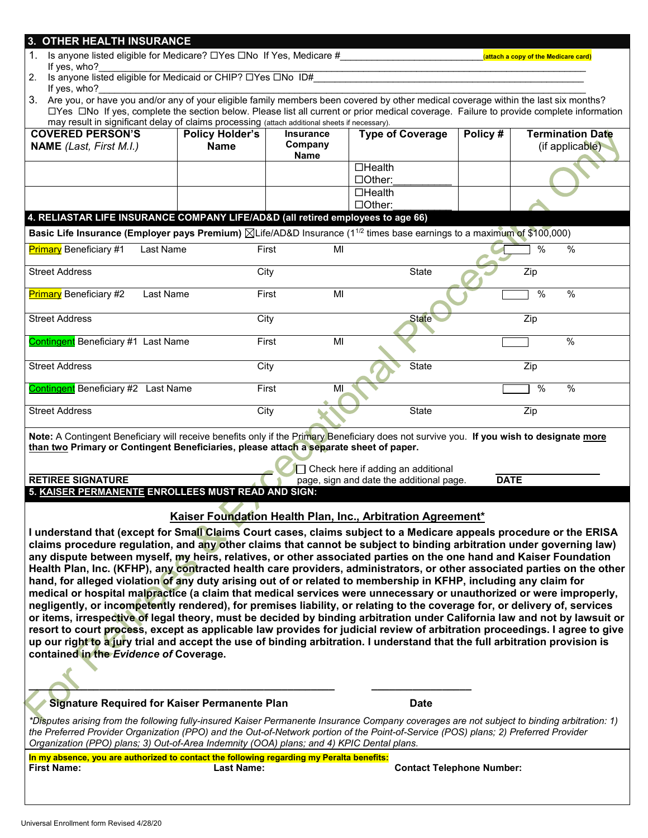| 3. OTHER HEALTH INSURANCE<br>1. Is anyone listed eligible for Medicare? □Yes □No If Yes, Medicare #                                                                                                                                                                                                                                                                                                                                                                                                                                                                                                                                                                                                                                      |                                                                                                                                                                                                                                                                                  |                                            |                                                             |         | (attach a copy of the Medicare card)       |  |  |
|------------------------------------------------------------------------------------------------------------------------------------------------------------------------------------------------------------------------------------------------------------------------------------------------------------------------------------------------------------------------------------------------------------------------------------------------------------------------------------------------------------------------------------------------------------------------------------------------------------------------------------------------------------------------------------------------------------------------------------------|----------------------------------------------------------------------------------------------------------------------------------------------------------------------------------------------------------------------------------------------------------------------------------|--------------------------------------------|-------------------------------------------------------------|---------|--------------------------------------------|--|--|
| If yes, who?<br>2.                                                                                                                                                                                                                                                                                                                                                                                                                                                                                                                                                                                                                                                                                                                       | Is anyone listed eligible for Medicaid or CHIP? OYes ONo ID#                                                                                                                                                                                                                     |                                            |                                                             |         |                                            |  |  |
| If yes, who?                                                                                                                                                                                                                                                                                                                                                                                                                                                                                                                                                                                                                                                                                                                             |                                                                                                                                                                                                                                                                                  |                                            |                                                             |         |                                            |  |  |
|                                                                                                                                                                                                                                                                                                                                                                                                                                                                                                                                                                                                                                                                                                                                          | 3. Are you, or have you and/or any of your eligible family members been covered by other medical coverage within the last six months?<br>□Yes □No If yes, complete the section below. Please list all current or prior medical coverage. Failure to provide complete information |                                            |                                                             |         |                                            |  |  |
| may result in significant delay of claims processing (attach additional sheets if necessary).                                                                                                                                                                                                                                                                                                                                                                                                                                                                                                                                                                                                                                            |                                                                                                                                                                                                                                                                                  |                                            |                                                             |         |                                            |  |  |
| <b>COVERED PERSON'S</b><br><b>NAME</b> (Last, First M.I.)                                                                                                                                                                                                                                                                                                                                                                                                                                                                                                                                                                                                                                                                                | <b>Policy Holder's</b><br><b>Name</b>                                                                                                                                                                                                                                            | <b>Insurance</b><br>Company<br><b>Name</b> | <b>Type of Coverage</b>                                     | Policy# | <b>Termination Date</b><br>(if applicable) |  |  |
|                                                                                                                                                                                                                                                                                                                                                                                                                                                                                                                                                                                                                                                                                                                                          |                                                                                                                                                                                                                                                                                  |                                            | $\Box$ Health<br>□Other:                                    |         |                                            |  |  |
|                                                                                                                                                                                                                                                                                                                                                                                                                                                                                                                                                                                                                                                                                                                                          |                                                                                                                                                                                                                                                                                  |                                            | $\Box$ Health<br>□Other:                                    |         |                                            |  |  |
| 4. RELIASTAR LIFE INSURANCE COMPANY LIFE/AD&D (all retired employees to age 66)                                                                                                                                                                                                                                                                                                                                                                                                                                                                                                                                                                                                                                                          |                                                                                                                                                                                                                                                                                  |                                            |                                                             |         |                                            |  |  |
| Basic Life Insurance (Employer pays Premium) <b>XLife/AD&amp;D</b> Insurance (1 <sup>1/2</sup> times base earnings to a maximum of \$100,000)                                                                                                                                                                                                                                                                                                                                                                                                                                                                                                                                                                                            |                                                                                                                                                                                                                                                                                  |                                            |                                                             |         |                                            |  |  |
| <b>Primary</b> Beneficiary #1<br>Last Name                                                                                                                                                                                                                                                                                                                                                                                                                                                                                                                                                                                                                                                                                               | First                                                                                                                                                                                                                                                                            | MI                                         |                                                             |         | $\frac{0}{0}$<br>$\%$                      |  |  |
| <b>Street Address</b>                                                                                                                                                                                                                                                                                                                                                                                                                                                                                                                                                                                                                                                                                                                    | City                                                                                                                                                                                                                                                                             |                                            | State                                                       |         | Zip                                        |  |  |
| <b>Primary</b> Beneficiary #2<br>Last Name                                                                                                                                                                                                                                                                                                                                                                                                                                                                                                                                                                                                                                                                                               | First                                                                                                                                                                                                                                                                            | MI                                         |                                                             |         | %<br>%                                     |  |  |
| <b>Street Address</b>                                                                                                                                                                                                                                                                                                                                                                                                                                                                                                                                                                                                                                                                                                                    | City                                                                                                                                                                                                                                                                             |                                            | <b>State</b>                                                |         | Zip                                        |  |  |
| Contingent Beneficiary #1 Last Name                                                                                                                                                                                                                                                                                                                                                                                                                                                                                                                                                                                                                                                                                                      | First                                                                                                                                                                                                                                                                            | MI                                         |                                                             |         | $\%$                                       |  |  |
| <b>Street Address</b>                                                                                                                                                                                                                                                                                                                                                                                                                                                                                                                                                                                                                                                                                                                    | City                                                                                                                                                                                                                                                                             |                                            | <b>State</b>                                                |         | Zip                                        |  |  |
| Contingent Beneficiary #2 Last Name                                                                                                                                                                                                                                                                                                                                                                                                                                                                                                                                                                                                                                                                                                      | First                                                                                                                                                                                                                                                                            | MI                                         |                                                             |         | %<br>%                                     |  |  |
| City<br><b>Street Address</b><br><b>State</b><br>Zip                                                                                                                                                                                                                                                                                                                                                                                                                                                                                                                                                                                                                                                                                     |                                                                                                                                                                                                                                                                                  |                                            |                                                             |         |                                            |  |  |
| Note: A Contingent Beneficiary will receive benefits only if the Primary Beneficiary does not survive you. If you wish to designate more<br>than two Primary or Contingent Beneficiaries, please attach a separate sheet of paper.                                                                                                                                                                                                                                                                                                                                                                                                                                                                                                       |                                                                                                                                                                                                                                                                                  |                                            |                                                             |         |                                            |  |  |
| $\Box$ Check here if adding an additional                                                                                                                                                                                                                                                                                                                                                                                                                                                                                                                                                                                                                                                                                                |                                                                                                                                                                                                                                                                                  |                                            |                                                             |         |                                            |  |  |
| <b>RETIREE SIGNATURE</b><br><b>DATE</b><br>page, sign and date the additional page.                                                                                                                                                                                                                                                                                                                                                                                                                                                                                                                                                                                                                                                      |                                                                                                                                                                                                                                                                                  |                                            |                                                             |         |                                            |  |  |
| 5. KAISER PERMANENTE ENROLLEES MUST READ AND SIGN:                                                                                                                                                                                                                                                                                                                                                                                                                                                                                                                                                                                                                                                                                       |                                                                                                                                                                                                                                                                                  |                                            |                                                             |         |                                            |  |  |
|                                                                                                                                                                                                                                                                                                                                                                                                                                                                                                                                                                                                                                                                                                                                          |                                                                                                                                                                                                                                                                                  |                                            | Kaiser Foundation Health Plan, Inc., Arbitration Agreement* |         |                                            |  |  |
| I understand that (except for Small Claims Court cases, claims subject to a Medicare appeals procedure or the ERISA<br>claims procedure regulation, and any other claims that cannot be subject to binding arbitration under governing law)<br>any dispute between myself, my heirs, relatives, or other associated parties on the one hand and Kaiser Foundation<br>Health Plan, Inc. (KFHP), any contracted health care providers, administrators, or other associated parties on the other<br>hand, for alleged violation of any duty arising out of or related to membership in KFHP, including any claim for<br>medical or hospital malpractice (a claim that medical services were unnecessary or unauthorized or were improperly, |                                                                                                                                                                                                                                                                                  |                                            |                                                             |         |                                            |  |  |
| negligently, or incompetently rendered), for premises liability, or relating to the coverage for, or delivery of, services<br>or items, irrespective of legal theory, must be decided by binding arbitration under California law and not by lawsuit or<br>resort to court process, except as applicable law provides for judicial review of arbitration proceedings. I agree to give<br>up our right to a jury trial and accept the use of binding arbitration. I understand that the full arbitration provision is<br>contained in the Evidence of Coverage.                                                                                                                                                                           |                                                                                                                                                                                                                                                                                  |                                            |                                                             |         |                                            |  |  |
|                                                                                                                                                                                                                                                                                                                                                                                                                                                                                                                                                                                                                                                                                                                                          |                                                                                                                                                                                                                                                                                  |                                            |                                                             |         |                                            |  |  |
| <b>Signature Required for Kaiser Permanente Plan</b><br><b>Date</b>                                                                                                                                                                                                                                                                                                                                                                                                                                                                                                                                                                                                                                                                      |                                                                                                                                                                                                                                                                                  |                                            |                                                             |         |                                            |  |  |
| *Disputes arising from the following fully-insured Kaiser Permanente Insurance Company coverages are not subject to binding arbitration: 1)<br>the Preferred Provider Organization (PPO) and the Out-of-Network portion of the Point-of-Service (POS) plans; 2) Preferred Provider<br>Organization (PPO) plans; 3) Out-of-Area Indemnity (OOA) plans; and 4) KPIC Dental plans.                                                                                                                                                                                                                                                                                                                                                          |                                                                                                                                                                                                                                                                                  |                                            |                                                             |         |                                            |  |  |
| In my absence, you are authorized to contact the following regarding my Peralta benefits:<br><b>First Name:</b>                                                                                                                                                                                                                                                                                                                                                                                                                                                                                                                                                                                                                          | <b>Last Name:</b>                                                                                                                                                                                                                                                                |                                            | <b>Contact Telephone Number:</b>                            |         |                                            |  |  |
|                                                                                                                                                                                                                                                                                                                                                                                                                                                                                                                                                                                                                                                                                                                                          |                                                                                                                                                                                                                                                                                  |                                            |                                                             |         |                                            |  |  |